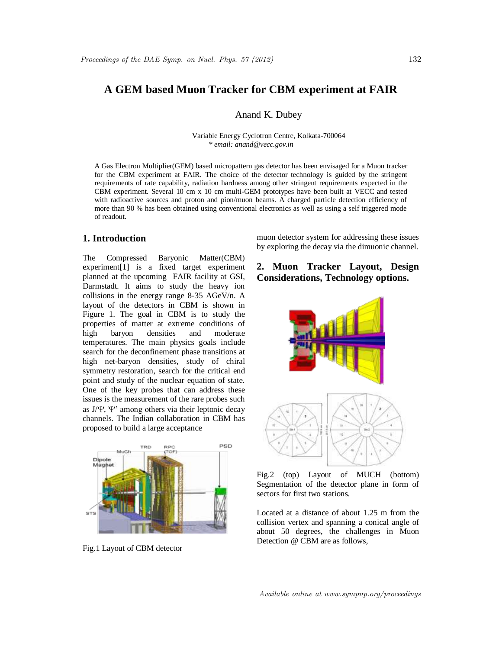# **A GEM based Muon Tracker for CBM experiment at FAIR**

Anand K. Dubey

Variable Energy Cyclotron Centre, Kolkata-700064 *\* email: anand@vecc.gov.in*

A Gas Electron Multiplier(GEM) based micropattern gas detector has been envisaged for a Muon tracker for the CBM experiment at FAIR. The choice of the detector technology is guided by the stringent requirements of rate capability, radiation hardness among other stringent requirements expected in the CBM experiment. Several 10 cm x 10 cm multi-GEM prototypes have been built at VECC and tested with radioactive sources and proton and pion/muon beams. A charged particle detection efficiency of more than 90 % has been obtained using conventional electronics as well as using a self triggered mode of readout.

## **1. Introduction**

The Compressed Baryonic Matter(CBM) experiment[1] is a fixed target experiment planned at the upcoming FAIR facility at GSI, Darmstadt. It aims to study the heavy ion collisions in the energy range 8-35 AGeV/n. A layout of the detectors in CBM is shown in Figure 1. The goal in CBM is to study the properties of matter at extreme conditions of high baryon densities and moderate temperatures. The main physics goals include search for the deconfinement phase transitions at high net-baryon densities, study of chiral symmetry restoration, search for the critical end point and study of the nuclear equation of state. One of the key probes that can address these issues is the measurement of the rare probes such as  $J/\Psi$ ,  $\Psi'$  among others via their leptonic decay channels. The Indian collaboration in CBM has proposed to build a large acceptance



Fig.1 Layout of CBM detector

muon detector system for addressing these issues by exploring the decay via the dimuonic channel.

# **2. Muon Tracker Layout, Design Considerations, Technology options.**



Fig.2 (top) Layout of MUCH (bottom) Segmentation of the detector plane in form of sectors for first two stations.

Located at a distance of about 1.25 m from the collision vertex and spanning a conical angle of about 50 degrees, the challenges in Muon Detection @ CBM are as follows,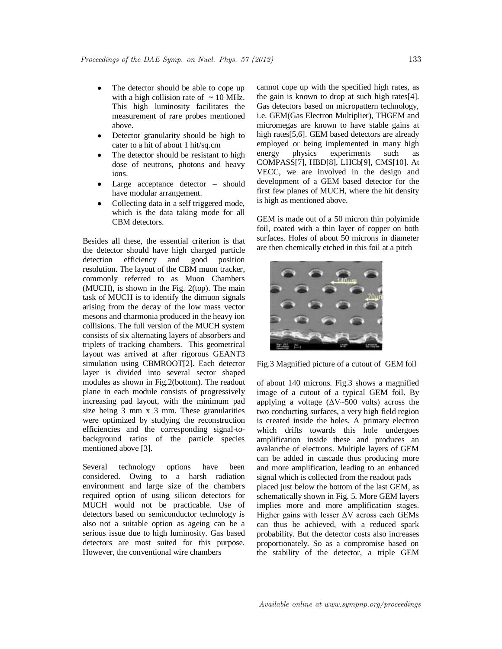- The detector should be able to cope up with a high collision rate of  $\sim$  10 MHz. This high luminosity facilitates the measurement of rare probes mentioned above.
- Detector granularity should be high to cater to a hit of about 1 hit/sq.cm
- The detector should be resistant to high dose of neutrons, photons and heavy ions.
- Large acceptance detector should have modular arrangement.
- Collecting data in a self triggered mode, which is the data taking mode for all CBM detectors.

Besides all these, the essential criterion is that the detector should have high charged particle detection efficiency and good position resolution. The layout of the CBM muon tracker, commonly referred to as Muon Chambers (MUCH), is shown in the Fig. 2(top). The main task of MUCH is to identify the dimuon signals arising from the decay of the low mass vector mesons and charmonia produced in the heavy ion collisions. The full version of the MUCH system consists of six alternating layers of absorbers and triplets of tracking chambers. This geometrical layout was arrived at after rigorous GEANT3 simulation using CBMROOT[2]. Each detector layer is divided into several sector shaped modules as shown in Fig.2(bottom). The readout plane in each module consists of progressively increasing pad layout, with the minimum pad size being 3 mm x 3 mm. These granularities were optimized by studying the reconstruction efficiencies and the corresponding signal-tobackground ratios of the particle species mentioned above [3].

Several technology options have been considered. Owing to a harsh radiation environment and large size of the chambers required option of using silicon detectors for MUCH would not be practicable. Use of detectors based on semiconductor technology is also not a suitable option as ageing can be a serious issue due to high luminosity. Gas based detectors are most suited for this purpose. However, the conventional wire chambers

cannot cope up with the specified high rates, as the gain is known to drop at such high rates[4]. Gas detectors based on micropattern technology, i.e. GEM(Gas Electron Multiplier), THGEM and micromegas are known to have stable gains at high rates<sup>[5,6]</sup>. GEM based detectors are already employed or being implemented in many high energy physics experiments such as COMPASS[7], HBD[8], LHCb[9], CMS[10]. At VECC, we are involved in the design and development of a GEM based detector for the first few planes of MUCH, where the hit density is high as mentioned above.

GEM is made out of a 50 micron thin polyimide foil, coated with a thin layer of copper on both surfaces. Holes of about 50 microns in diameter are then chemically etched in this foil at a pitch



Fig.3 Magnified picture of a cutout of GEM foil

of about 140 microns. Fig.3 shows a magnified image of a cutout of a typical GEM foil. By applying a voltage  $(\Delta V \sim 500$  volts) across the two conducting surfaces, a very high field region is created inside the holes. A primary electron which drifts towards this hole undergoes amplification inside these and produces an avalanche of electrons. Multiple layers of GEM can be added in cascade thus producing more and more amplification, leading to an enhanced signal which is collected from the readout pads placed just below the bottom of the last GEM, as schematically shown in Fig. 5. More GEM layers implies more and more amplification stages. Higher gains with lesser  $\Delta V$  across each GEMs can thus be achieved, with a reduced spark probability. But the detector costs also increases proportionately. So as a compromise based on the stability of the detector, a triple GEM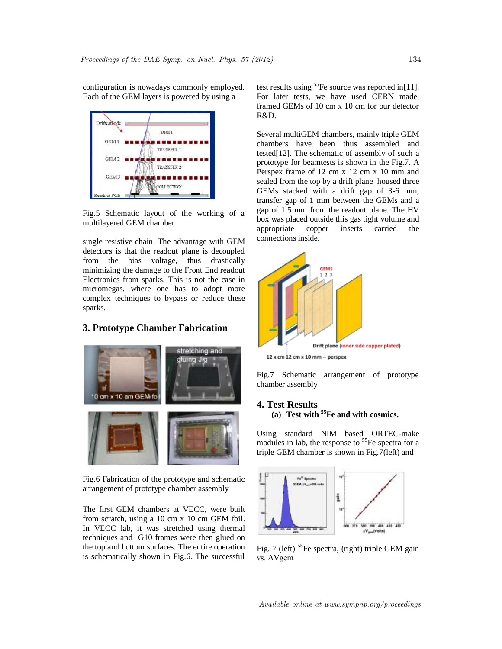configuration is nowadays commonly employed. Each of the GEM layers is powered by using a



Fig.5 Schematic layout of the working of a multilayered GEM chamber

single resistive chain. The advantage with GEM detectors is that the readout plane is decoupled from the bias voltage, thus drastically minimizing the damage to the Front End readout Electronics from sparks. This is not the case in micromegas, where one has to adopt more complex techniques to bypass or reduce these sparks.

## **3. Prototype Chamber Fabrication**



Fig.6 Fabrication of the prototype and schematic arrangement of prototype chamber assembly

The first GEM chambers at VECC, were built from scratch, using a 10 cm x 10 cm GEM foil. In VECC lab, it was stretched using thermal techniques and G10 frames were then glued on the top and bottom surfaces. The entire operation is schematically shown in Fig.6. The successful test results using  ${}^{55}Fe$  source was reported in[11]. For later tests, we have used CERN made, framed GEMs of 10 cm x 10 cm for our detector R&D.

Several multiGEM chambers, mainly triple GEM chambers have been thus assembled and tested[12]. The schematic of assembly of such a prototype for beamtests is shown in the Fig.7. A Perspex frame of 12 cm x 12 cm x 10 mm and sealed from the top by a drift plane housed three GEMs stacked with a drift gap of 3-6 mm, transfer gap of 1 mm between the GEMs and a gap of 1.5 mm from the readout plane. The HV box was placed outside this gas tight volume and appropriate copper inserts carried the connections inside.



12 x cm 12 cm x 10 mm -- perspex

Fig.7 Schematic arrangement of prototype chamber assembly

### **4. Test Results (a) Test with <sup>55</sup>Fe and with cosmics.**

Using standard NIM based ORTEC-make modules in lab, the response to  ${}^{55}Fe$  spectra for a triple GEM chamber is shown in Fig.7(left) and



Fig. 7 (left) <sup>55</sup>Fe spectra, (right) triple GEM gain vs. ΔVgem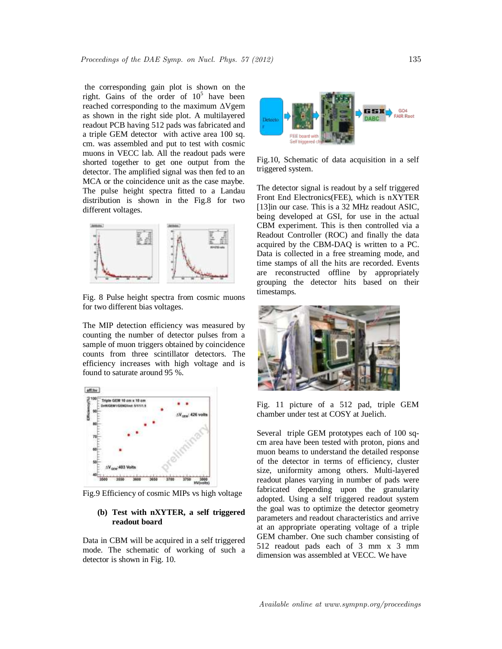the corresponding gain plot is shown on the right. Gains of the order of  $10^5$  have been reached corresponding to the maximum ΔVgem as shown in the right side plot. A multilayered readout PCB having 512 pads was fabricated and a triple GEM detector with active area 100 sq. cm. was assembled and put to test with cosmic muons in VECC lab. All the readout pads were shorted together to get one output from the detector. The amplified signal was then fed to an MCA or the coincidence unit as the case maybe. The pulse height spectra fitted to a Landau distribution is shown in the Fig.8 for two different voltages.



Fig. 8 Pulse height spectra from cosmic muons for two different bias voltages.

The MIP detection efficiency was measured by counting the number of detector pulses from a sample of muon triggers obtained by coincidence counts from three scintillator detectors. The efficiency increases with high voltage and is found to saturate around 95 %.



Fig.9 Efficiency of cosmic MIPs vs high voltage

### **(b) Test with nXYTER, a self triggered readout board**

Data in CBM will be acquired in a self triggered mode. The schematic of working of such a detector is shown in Fig. 10.



Fig.10, Schematic of data acquisition in a self triggered system.

The detector signal is readout by a self triggered Front End Electronics(FEE), which is nXYTER [13]in our case. This is a 32 MHz readout ASIC, being developed at GSI, for use in the actual CBM experiment. This is then controlled via a Readout Controller (ROC) and finally the data acquired by the CBM-DAQ is written to a PC. Data is collected in a free streaming mode, and time stamps of all the hits are recorded. Events are reconstructed offline by appropriately grouping the detector hits based on their timestamps.



Fig. 11 picture of a 512 pad, triple GEM chamber under test at COSY at Juelich.

Several triple GEM prototypes each of 100 sqcm area have been tested with proton, pions and muon beams to understand the detailed response of the detector in terms of efficiency, cluster size, uniformity among others. Multi-layered readout planes varying in number of pads were fabricated depending upon the granularity adopted. Using a self triggered readout system the goal was to optimize the detector geometry parameters and readout characteristics and arrive at an appropriate operating voltage of a triple GEM chamber. One such chamber consisting of 512 readout pads each of 3 mm x 3 mm dimension was assembled at VECC. We have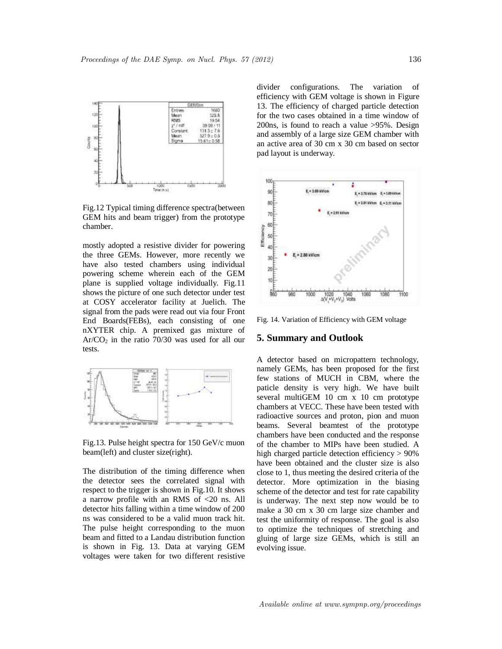

Fig.12 Typical timing difference spectra(between GEM hits and beam trigger) from the prototype chamber.

mostly adopted a resistive divider for powering the three GEMs. However, more recently we have also tested chambers using individual powering scheme wherein each of the GEM plane is supplied voltage individually. Fig.11 shows the picture of one such detector under test at COSY accelerator facility at Juelich. The signal from the pads were read out via four Front End Boards(FEBs), each consisting of one nXYTER chip. A premixed gas mixture of  $Ar/CO<sub>2</sub>$  in the ratio 70/30 was used for all our tests.



Fig.13. Pulse height spectra for 150 GeV/c muon beam(left) and cluster size(right).

The distribution of the timing difference when the detector sees the correlated signal with respect to the trigger is shown in Fig.10. It shows a narrow profile with an RMS of <20 ns. All detector hits falling within a time window of 200 ns was considered to be a valid muon track hit. The pulse height corresponding to the muon beam and fitted to a Landau distribution function is shown in Fig. 13. Data at varying GEM voltages were taken for two different resistive divider configurations. The variation of efficiency with GEM voltage is shown in Figure 13. The efficiency of charged particle detection for the two cases obtained in a time window of 200ns, is found to reach a value >95%. Design and assembly of a large size GEM chamber with an active area of 30 cm x 30 cm based on sector pad layout is underway.



Fig. 14. Variation of Efficiency with GEM voltage

#### **5. Summary and Outlook**

A detector based on micropattern technology, namely GEMs, has been proposed for the first few stations of MUCH in CBM, where the paticle density is very high. We have built several multiGEM 10 cm x 10 cm prototype chambers at VECC. These have been tested with radioactive sources and proton, pion and muon beams. Several beamtest of the prototype chambers have been conducted and the response of the chamber to MIPs have been studied. A high charged particle detection efficiency > 90% have been obtained and the cluster size is also close to 1, thus meeting the desired criteria of the detector. More optimization in the biasing scheme of the detector and test for rate capability is underway. The next step now would be to make a 30 cm x 30 cm large size chamber and test the uniformity of response. The goal is also to optimize the techniques of stretching and gluing of large size GEMs, which is still an evolving issue.